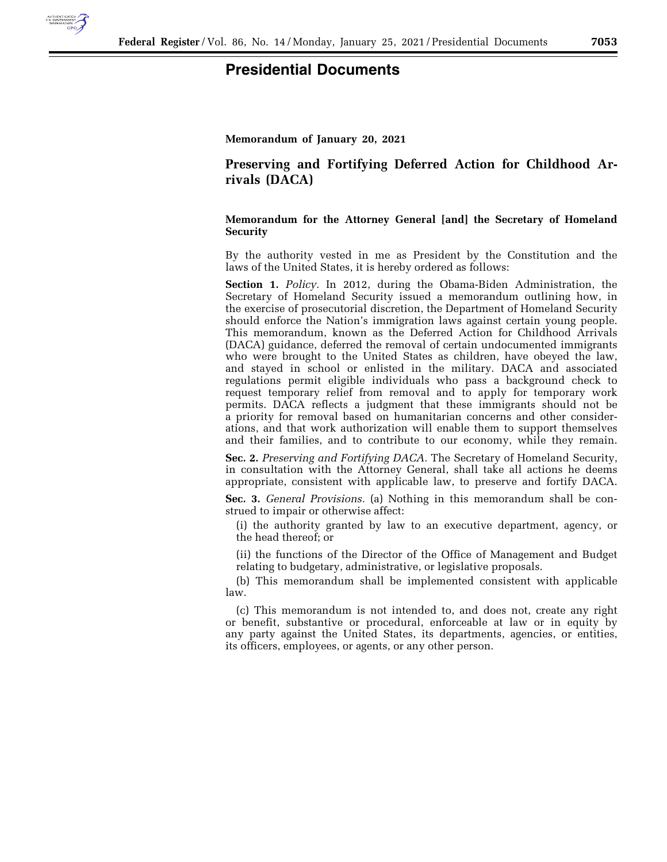

## **Presidential Documents**

**Memorandum of January 20, 2021** 

**Preserving and Fortifying Deferred Action for Childhood Arrivals (DACA)** 

**Memorandum for the Attorney General [and] the Secretary of Homeland Security** 

By the authority vested in me as President by the Constitution and the laws of the United States, it is hereby ordered as follows:

**Section 1.** *Policy.* In 2012, during the Obama-Biden Administration, the Secretary of Homeland Security issued a memorandum outlining how, in the exercise of prosecutorial discretion, the Department of Homeland Security should enforce the Nation's immigration laws against certain young people. This memorandum, known as the Deferred Action for Childhood Arrivals (DACA) guidance, deferred the removal of certain undocumented immigrants who were brought to the United States as children, have obeyed the law, and stayed in school or enlisted in the military. DACA and associated regulations permit eligible individuals who pass a background check to request temporary relief from removal and to apply for temporary work permits. DACA reflects a judgment that these immigrants should not be a priority for removal based on humanitarian concerns and other considerations, and that work authorization will enable them to support themselves and their families, and to contribute to our economy, while they remain.

**Sec. 2.** *Preserving and Fortifying DACA.* The Secretary of Homeland Security, in consultation with the Attorney General, shall take all actions he deems appropriate, consistent with applicable law, to preserve and fortify DACA.

**Sec. 3.** *General Provisions.* (a) Nothing in this memorandum shall be construed to impair or otherwise affect:

(i) the authority granted by law to an executive department, agency, or the head thereof; or

(ii) the functions of the Director of the Office of Management and Budget relating to budgetary, administrative, or legislative proposals.

(b) This memorandum shall be implemented consistent with applicable law.

(c) This memorandum is not intended to, and does not, create any right or benefit, substantive or procedural, enforceable at law or in equity by any party against the United States, its departments, agencies, or entities, its officers, employees, or agents, or any other person.